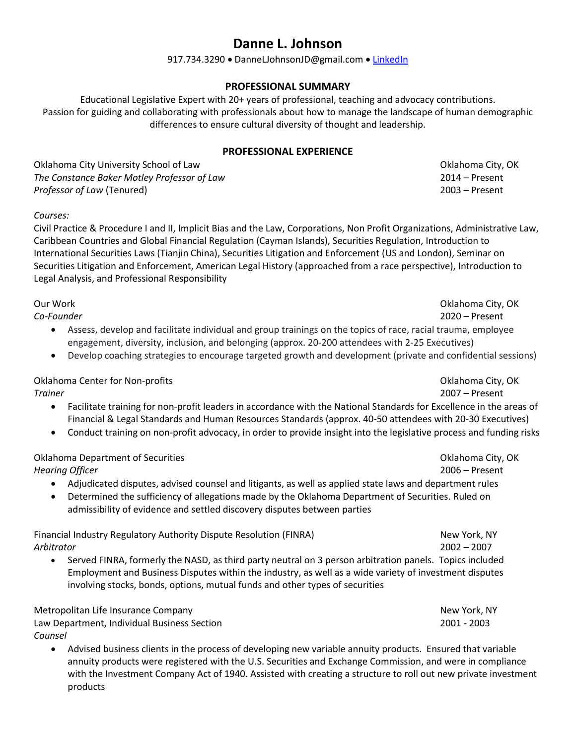# **Danne L. Johnson**

#### 917.734.3290 • DanneLJohnsonJD@gmail.com • [LinkedIn](https://www.linkedin.com/in/danne-johnson-0069863/)

## **PROFESSIONAL SUMMARY**

Educational Legislative Expert with 20+ years of professional, teaching and advocacy contributions. Passion for guiding and collaborating with professionals about how to manage the landscape of human demographic differences to ensure cultural diversity of thought and leadership.

### **PROFESSIONAL EXPERIENCE**

Oklahoma City University School of Law Oklahoma City, OK Change of Law Oklahoma City, OK *The Constance Baker Motley Professor of Law* 2014 – Present *Professor of Law* (Tenured) 2003 – Present

*Courses:*

Civil Practice & Procedure I and II, Implicit Bias and the Law, Corporations, Non Profit Organizations, Administrative Law, Caribbean Countries and Global Financial Regulation (Cayman Islands), Securities Regulation, Introduction to International Securities Laws (Tianjin China), Securities Litigation and Enforcement (US and London), Seminar on Securities Litigation and Enforcement, American Legal History (approached from a race perspective), Introduction to Legal Analysis, and Professional Responsibility

*Co-Founder* 2020 – Present • Assess, develop and facilitate individual and group trainings on the topics of race, racial trauma, employee engagement, diversity, inclusion, and belonging (approx. 20-200 attendees with 2-25 Executives)

• Develop coaching strategies to encourage targeted growth and development (private and confidential sessions)

Oklahoma Center for Non-profits Oklahoma City, OK

- *Trainer* 2007 Present
	- Facilitate training for non-profit leaders in accordance with the National Standards for Excellence in the areas of Financial & Legal Standards and Human Resources Standards (approx. 40-50 attendees with 20-30 Executives)
	- Conduct training on non-profit advocacy, in order to provide insight into the legislative process and funding risks

Oklahoma Department of Securities Oklahoma City, OK *Hearing Officer* 2006 – Present

- Adjudicated disputes, advised counsel and litigants, as well as applied state laws and department rules
- Determined the sufficiency of allegations made by the Oklahoma Department of Securities. Ruled on admissibility of evidence and settled discovery disputes between parties

Financial Industry Regulatory Authority Dispute Resolution (FINRA) New York, NY *Arbitrator* 2002 – 2007

• Served FINRA, formerly the NASD, as third party neutral on 3 person arbitration panels. Topics included Employment and Business Disputes within the industry, as well as a wide variety of investment disputes involving stocks, bonds, options, mutual funds and other types of securities

| Metropolitan Life Insurance Company         | New York, NY |
|---------------------------------------------|--------------|
| Law Department, Individual Business Section | 2001 - 2003  |
| Counsel                                     |              |

• Advised business clients in the process of developing new variable annuity products. Ensured that variable annuity products were registered with the U.S. Securities and Exchange Commission, and were in compliance with the Investment Company Act of 1940. Assisted with creating a structure to roll out new private investment products

Our Work Oklahoma City, OK